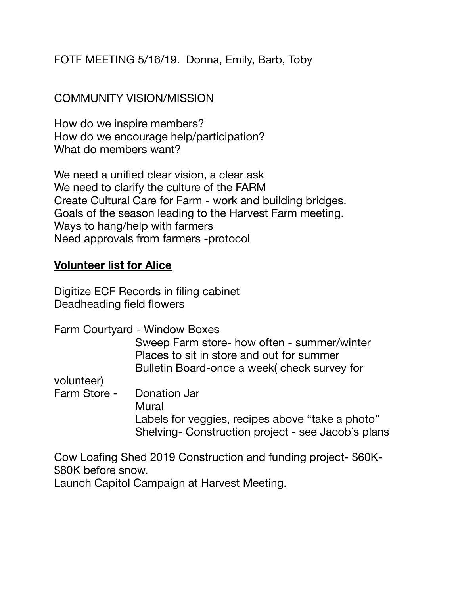FOTF MEETING 5/16/19. Donna, Emily, Barb, Toby

## COMMUNITY VISION/MISSION

How do we inspire members? How do we encourage help/participation? What do members want?

We need a unified clear vision, a clear ask We need to clarify the culture of the FARM Create Cultural Care for Farm - work and building bridges. Goals of the season leading to the Harvest Farm meeting. Ways to hang/help with farmers Need approvals from farmers -protocol

## **Volunteer list for Alice**

Digitize ECF Records in filing cabinet Deadheading field flowers

Farm Courtyard - Window Boxes

 Sweep Farm store- how often - summer/winter Places to sit in store and out for summer Bulletin Board-once a week( check survey for

volunteer)

Farm Store - Donation Jar Mural Labels for veggies, recipes above "take a photo" Shelving- Construction project - see Jacob's plans

Cow Loafing Shed 2019 Construction and funding project- \$60K- \$80K before snow.

Launch Capitol Campaign at Harvest Meeting.